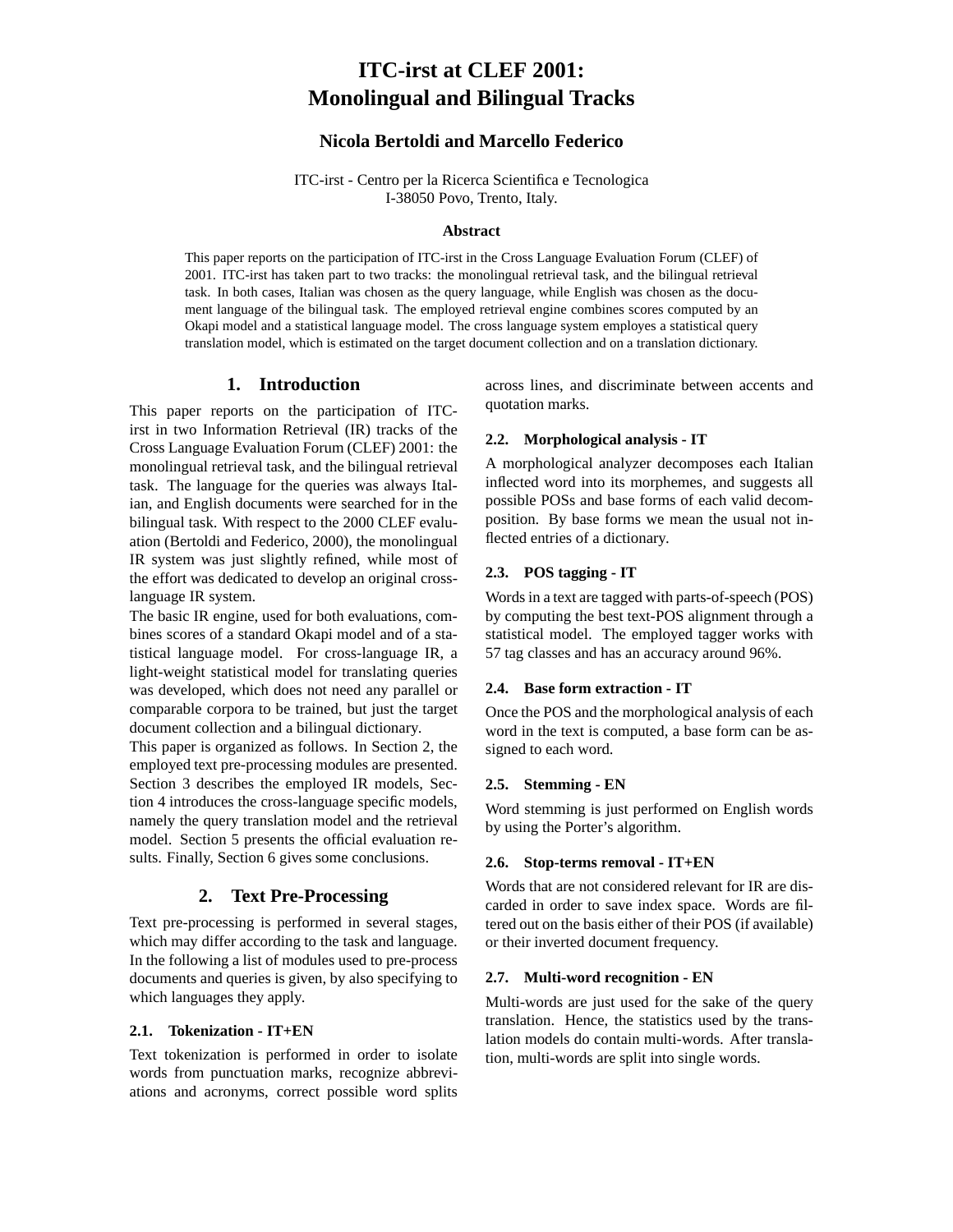# **ITC-irst at CLEF 2001: Monolingual and Bilingual Tracks**

# **Nicola Bertoldi and Marcello Federico**

ITC-irst - Centro per la Ricerca Scientifica e Tecnologica I-38050 Povo, Trento, Italy.

## **Abstract**

This paper reports on the participation of ITC-irst in the Cross Language Evaluation Forum (CLEF) of 2001. ITC-irst has taken part to two tracks: the monolingual retrieval task, and the bilingual retrieval task. In both cases, Italian was chosen as the query language, while English was chosen as the document language of the bilingual task. The employed retrieval engine combines scores computed by an Okapi model and a statistical language model. The cross language system employes a statistical query translation model, which is estimated on the target document collection and on a translation dictionary.

# **1. Introduction**

This paper reports on the participation of ITCirst in two Information Retrieval (IR) tracks of the Cross Language Evaluation Forum (CLEF) 2001: the monolingual retrieval task, and the bilingual retrieval task. The language for the queries was always Italian, and English documents were searched for in the bilingual task. With respect to the 2000 CLEF evaluation (Bertoldi and Federico, 2000), the monolingual IR system was just slightly refined, while most of the effort was dedicated to develop an original crosslanguage IR system.

The basic IR engine, used for both evaluations, combines scores of a standard Okapi model and of a statistical language model. For cross-language IR, a light-weight statistical model for translating queries was developed, which does not need any parallel or comparable corpora to be trained, but just the target document collection and a bilingual dictionary.

This paper is organized as follows. In Section 2, the employed text pre-processing modules are presented. Section 3 describes the employed IR models, Section 4 introduces the cross-language specific models, namely the query translation model and the retrieval model. Section 5 presents the official evaluation results. Finally, Section 6 gives some conclusions.

# **2. Text Pre-Processing**

Text pre-processing is performed in several stages, which may differ according to the task and language. In the following a list of modules used to pre-process documents and queries is given, by also specifying to which languages they apply.

## **2.1. Tokenization - IT+EN**

Text tokenization is performed in order to isolate words from punctuation marks, recognize abbreviations and acronyms, correct possible word splits across lines, and discriminate between accents and quotation marks.

#### **2.2. Morphological analysis - IT**

A morphological analyzer decomposes each Italian inflected word into its morphemes, and suggests all possible POSs and base forms of each valid decomposition. By base forms we mean the usual not inflected entries of a dictionary.

# **2.3. POS tagging - IT**

Words in a text are tagged with parts-of-speech (POS) by computing the best text-POS alignment through a statistical model. The employed tagger works with 57 tag classes and has an accuracy around 96%.

#### **2.4. Base form extraction - IT**

Once the POS and the morphological analysis of each word in the text is computed, a base form can be assigned to each word.

#### **2.5. Stemming - EN**

Word stemming is just performed on English words by using the Porter's algorithm.

## **2.6. Stop-terms removal - IT+EN**

Words that are not considered relevant for IR are discarded in order to save index space. Words are filtered out on the basis either of their POS (if available) or their inverted document frequency.

#### **2.7. Multi-word recognition - EN**

Multi-words are just used for the sake of the query translation. Hence, the statistics used by the translation models do contain multi-words. After translation, multi-words are split into single words.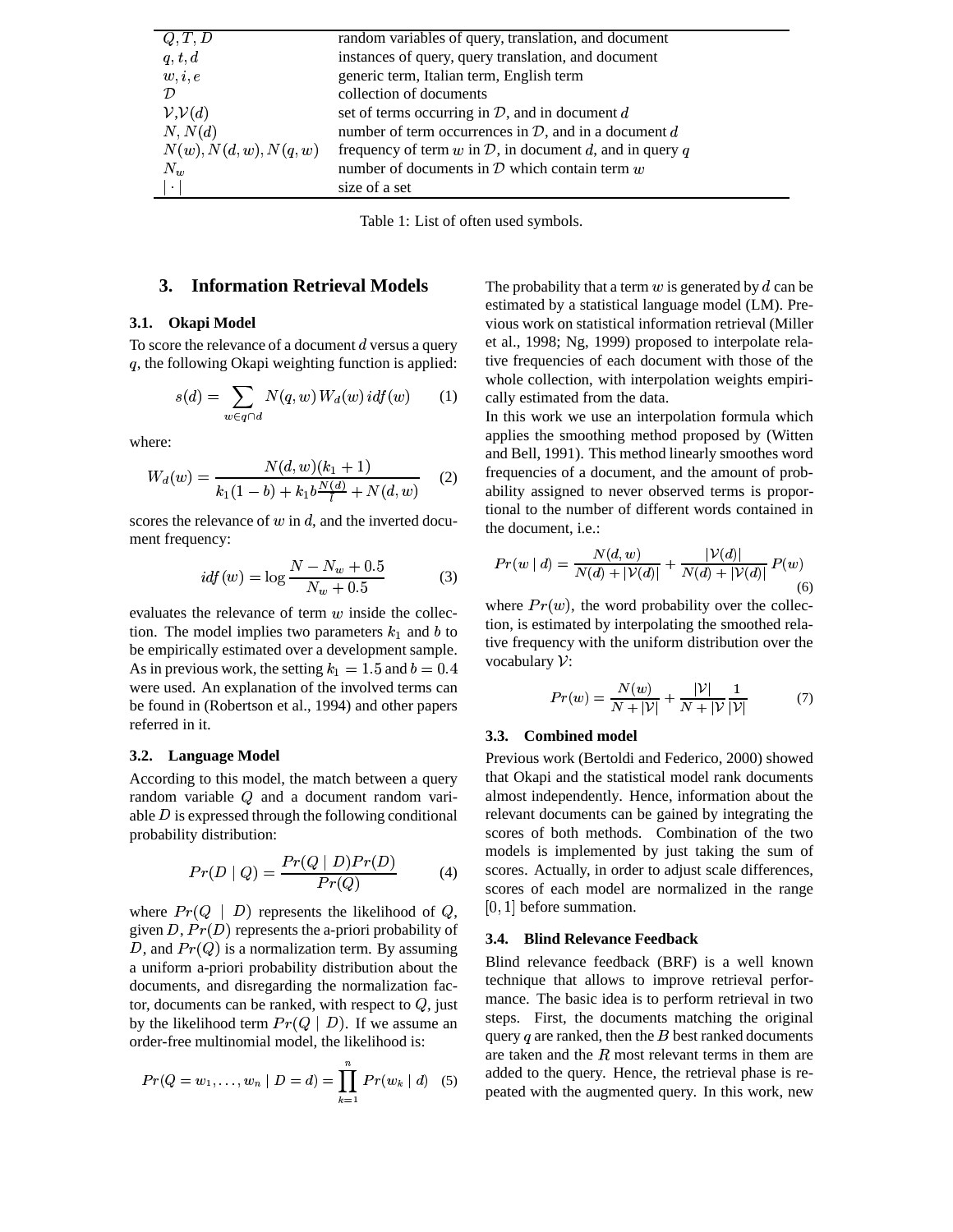| Q, T, D                        | random variables of query, translation, and document       |
|--------------------------------|------------------------------------------------------------|
| q, t, d                        | instances of query, query translation, and document        |
| w, i, e                        | generic term, Italian term, English term                   |
| $\mathcal{D}$                  | collection of documents                                    |
| V, V(d)                        | set of terms occurring in $D$ , and in document $d$        |
| N, N(d)                        | number of term occurrences in $D$ , and in a document $d$  |
| $N(w)$ , $N(d, w)$ , $N(q, w)$ | frequency of term w in $D$ , in document d, and in query q |
| $N_w$                          | number of documents in $D$ which contain term $w$          |
| $\ddot{\phantom{a}}$           | size of a set                                              |

Table 1: List of often used symbols.

# **3. Information Retrieval Models**

### **3.1. Okapi Model**

To score the relevance of a document  $d$  versus a query , the following Okapi weighting function is applied:

$$
s(d) = \sum_{w \in q \cap d} N(q, w) W_d(w) idf(w) \qquad (1)
$$

where:

$$
W_d(w) = \frac{N(d, w)(k_1 + 1)}{k_1(1 - b) + k_1 b \frac{N(d)}{l} + N(d, w)}
$$
 (2)

scores the relevance of  $w$  in  $d$ , and the inverted document frequency:

$$
i\,d f(w) = \log \frac{N - N_w + 0.5}{N_w + 0.5} \tag{3}
$$

evaluates the relevance of term  $w$  inside the collection. The model implies two parameters  $k_1$  and b to be empirically estimated over a development sample. As in previous work, the setting  $k_1 = 1.5$  and  $b = 0.4$ were used. An explanation of the involved terms can be found in (Robertson et al., 1994) and other papers referred in it.

#### **3.2. Language Model**

According to this model, the match between a query random variable  $Q$  and a document random variable  $D$  is expressed through the following conditional probability distribution:

$$
Pr(D \mid Q) = \frac{Pr(Q \mid D)Pr(D)}{Pr(Q)} \tag{4}
$$

where  $Pr(Q \mid D)$  represents the likelihood of  $Q$ , [0, 1] beto given  $D$ ,  $Pr(D)$  represents the a-priori probability of D, and  $Pr(Q)$  is a normalization term. By assuming a uniform a-priori probability distribution about the documents, and disregarding the normalization factor, documents can be ranked, with respect to  $Q$ , just  $\blacksquare$ by the likelihood term  $Pr(Q \mid D)$ . If we assume an order-free multinomial model, the likelihood is:

$$
Pr(Q = w_1, \ldots, w_n | D = d) = \prod_{k=1}^{n} Pr(w_k | d) \quad (5)
$$

The probability that a term  $w$  is generated by  $d$  can be estimated by a statistical language model (LM). Previous work on statistical information retrieval (Miller et al., 1998; Ng, 1999) proposed to interpolate relative frequencies of each document with those of the whole collection, with interpolation weights empirically estimated from the data.

In this work we use an interpolation formula which applies the smoothing method proposed by (Witten and Bell, 1991). This method linearly smoothes word frequencies of a document, and the amount of probability assigned to never observed terms is proportional to the number of different words contained in the document, i.e.:

$$
Pr(w | d) = \frac{N(d, w)}{N(d) + |\mathcal{V}(d)|} + \frac{|\mathcal{V}(d)|}{N(d) + |\mathcal{V}(d)|} P(w)
$$
\n(6)

where  $Pr(w)$ , the word probability over the collection, is estimated by interpolating the smoothed relative frequency with the uniform distribution over the vocabulary  $\mathcal{V}$ :

$$
Pr(w) = \frac{N(w)}{N + |\mathcal{V}|} + \frac{|\mathcal{V}|}{N + |\mathcal{V}|} \frac{1}{|\mathcal{V}|}
$$
(7)

### **3.3. Combined model**

Previous work (Bertoldi and Federico, 2000) showed that Okapi and the statistical model rank documents almost independently. Hence, information about the relevant documents can be gained by integrating the scores of both methods. Combination of the two models is implemented by just taking the sum of scores. Actually, in order to adjust scale differences, scores of each model are normalized in the range  $[0, 1]$  before summation.

#### **3.4. Blind Relevance Feedback**

 $\prod_{n=1}^{\infty} P_{n}(n+1)$  (5) added to the query. Hence, the retrieval phase is re-Blind relevance feedback (BRF) is a well known technique that allows to improve retrieval performance. The basic idea is to perform retrieval in two steps. First, the documents matching the original query  $q$  are ranked, then the  $B$  best ranked documents are taken and the  $R$  most relevant terms in them are peated with the augmented query. In this work, new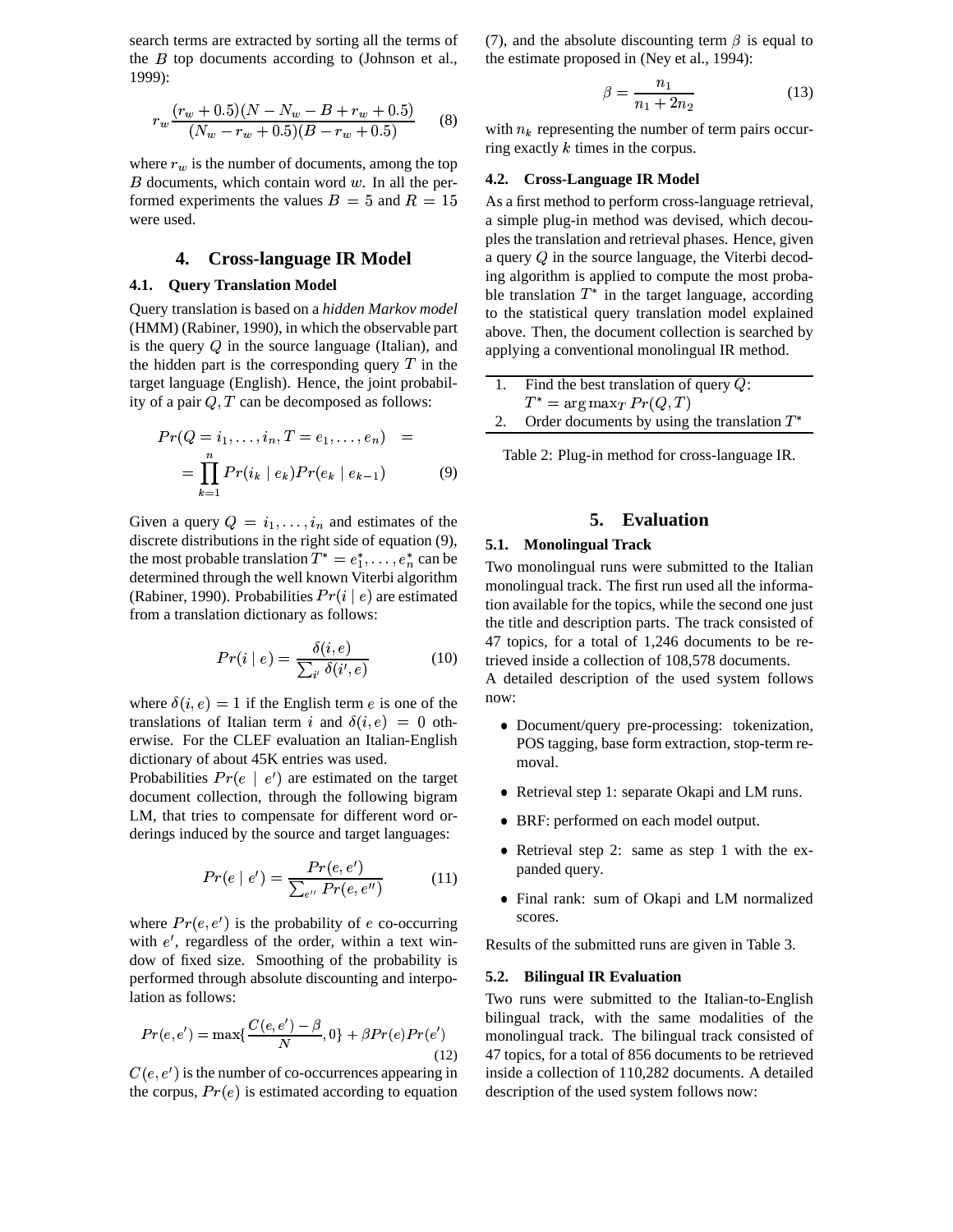search terms are extracted by sorting all the terms of the  $B$  top documents according to (Johnson et al., 1999):

$$
r_w \frac{(r_w + 0.5)(N - N_w - B + r_w + 0.5)}{(N_w - r_w + 0.5)(B - r_w + 0.5)}
$$
 (8)

where  $r_w$  is the number of documents, among the top  $B$  documents, which contain word  $w$ . In all the performed experiments the values  $B = 5$  and  $R = 15$  As a were used.

## **4. Cross-language IR Model**

#### **4.1. Query Translation Model**

Query translation is based on a *hidden Markov model* (HMM) (Rabiner, 1990), in which the observable part is the query  $Q$  in the source language (Italian), and the hidden part is the corresponding query  $T$  in the target language (English). Hence, the joint probability of a pair  $Q, T$  can be decomposed as follows:

$$
Pr(Q = i_1, ..., i_n, T = e_1, ..., e_n) = \boxed{\qquad}
$$
  
= 
$$
\prod_{k=1}^{n} Pr(i_k | e_k) Pr(e_k | e_{k-1})
$$
 (9)

Given a query  $Q = i_1, \ldots, i_n$  and estimates of the discrete distributions in the right side of equation (9), the most probable translation  $T^* = e_1^*, \ldots, e_n^*$  can be determined through the well known Viterbi algorithm (Rabiner, 1990). Probabilities  $Pr(i | e)$  are estimated from a translation dictionary as follows:

$$
Pr(i \mid e) = \frac{\delta(i, e)}{\sum_{i'} \delta(i', e)}
$$
(10)

where  $\delta(i, e) = 1$  if the English term e is one of the translations of Italian term i and  $\delta(i,e) = 0$  otherwise. For the CLEF evaluation an Italian-English dictionary of about 45K entries was used.

Probabilities  $Pr(e | e')$  are estimated on the target document collection, through the following bigram LM, that tries to compensate for different word orderings induced by the source and target languages:

$$
Pr(e | e') = \frac{Pr(e, e')}{\sum_{e'} Pr(e, e'')}
$$
 (11)

where  $Pr(e, e')$  is the probability of e co-occurring with  $e'$ , regardless of the order, within a text window of fixed size. Smoothing of the probability is performed through absolute discounting and interpolation as follows:

$$
Pr(e, e') = \max\{\frac{C(e, e') - \beta}{N}, 0\} + \beta Pr(e)Pr(e')
$$
\n(12)

 $C(e, e')$  is the number of co-occurrences appearing in the corpus,  $Pr(e)$  is estimated according to equation

(7), and the absolute discounting term  $\beta$  is equal to the estimate proposed in (Ney et al., 1994):

$$
\beta = \frac{n_1}{n_1 + 2n_2} \tag{13}
$$

with  $n_k$  representing the number of term pairs occurring exactly  $k$  times in the corpus.

### **4.2. Cross-Language IR Model**

As a first method to perform cross-language retrieval, a simple plug-in method was devised, which decouples the translation and retrieval phases. Hence, given a query  $Q$  in the source language, the Viterbi decoding algorithm is applied to compute the most probable translation  $T^*$  in the target language, according to the statistical query translation model explained above. Then, the document collection is searched by applying a conventional monolingual IR method.

| Find the best translation of query $Q$ :       |  |
|------------------------------------------------|--|
| $T^* = \arg \max_T Pr(Q, T)$                   |  |
| Order documents by using the translation $T^*$ |  |

Table 2: Plug-in method for cross-language IR.

# **5. Evaluation**

#### **5.1. Monolingual Track**

Two monolingual runs were submitted to the Italian monolingual track. The first run used all the information available for the topics, while the second one just the title and description parts. The track consisted of 47 topics, for a total of 1,246 documents to be retrieved inside a collection of 108,578 documents.

A detailed description of the used system follows now:

- Document/query pre-processing: tokenization, POS tagging, base form extraction, stop-term re moval.
- Retrieval step 1: separate Okapi and LM runs.
- ° BRF: performed on each model output.
- Retrieval step 2: same as step 1 with the expanded query.
- Final rank: sum of Okapi and LM normalized scores.

Results of the submitted runs are given in Table 3.

#### **5.2. Bilingual IR Evaluation**

Two runs were submitted to the Italian-to-English bilingual track, with the same modalities of the monolingual track. The bilingual track consisted of 47 topics, for a total of 856 documents to be retrieved inside a collection of 110,282 documents. A detailed description of the used system follows now: